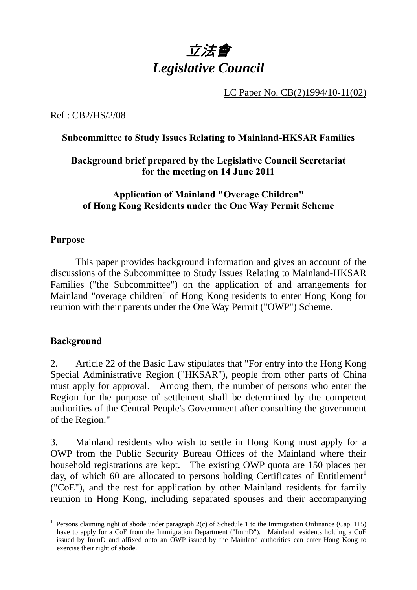

LC Paper No. CB(2)1994/10-11(02)

Ref : CB2/HS/2/08

## **Subcommittee to Study Issues Relating to Mainland-HKSAR Families**

## **Background brief prepared by the Legislative Council Secretariat for the meeting on 14 June 2011**

# **Application of Mainland "Overage Children" of Hong Kong Residents under the One Way Permit Scheme**

## **Purpose**

. This paper provides background information and gives an account of the discussions of the Subcommittee to Study Issues Relating to Mainland-HKSAR Families ("the Subcommittee") on the application of and arrangements for Mainland "overage children" of Hong Kong residents to enter Hong Kong for reunion with their parents under the One Way Permit ("OWP") Scheme.

#### **Background**

1

2. Article 22 of the Basic Law stipulates that "For entry into the Hong Kong Special Administrative Region ("HKSAR"), people from other parts of China must apply for approval. Among them, the number of persons who enter the Region for the purpose of settlement shall be determined by the competent authorities of the Central People's Government after consulting the government of the Region."

3. Mainland residents who wish to settle in Hong Kong must apply for a OWP from the Public Security Bureau Offices of the Mainland where their household registrations are kept. The existing OWP quota are 150 places per day, of which 60 are allocated to persons holding Certificates of Entitlement<sup>1</sup> ("CoE"), and the rest for application by other Mainland residents for family reunion in Hong Kong, including separated spouses and their accompanying

<sup>&</sup>lt;sup>1</sup> Persons claiming right of abode under paragraph 2(c) of Schedule 1 to the Immigration Ordinance (Cap. 115) have to apply for a CoE from the Immigration Department ("ImmD"). Mainland residents holding a CoE issued by ImmD and affixed onto an OWP issued by the Mainland authorities can enter Hong Kong to exercise their right of abode.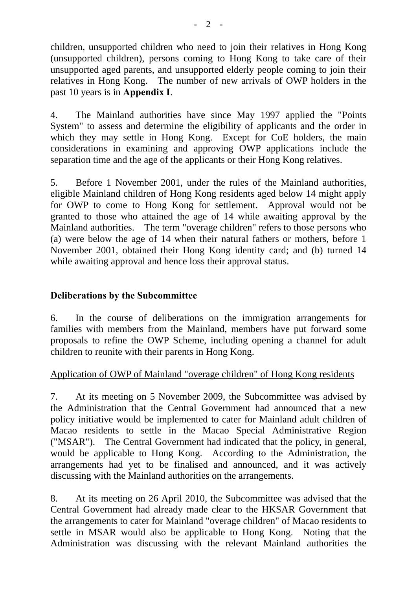children, unsupported children who need to join their relatives in Hong Kong (unsupported children), persons coming to Hong Kong to take care of their unsupported aged parents, and unsupported elderly people coming to join their relatives in Hong Kong. The number of new arrivals of OWP holders in the past 10 years is in **Appendix I**.

4. The Mainland authorities have since May 1997 applied the "Points System" to assess and determine the eligibility of applicants and the order in which they may settle in Hong Kong. Except for CoE holders, the main considerations in examining and approving OWP applications include the separation time and the age of the applicants or their Hong Kong relatives.

5. Before 1 November 2001, under the rules of the Mainland authorities, eligible Mainland children of Hong Kong residents aged below 14 might apply for OWP to come to Hong Kong for settlement. Approval would not be granted to those who attained the age of 14 while awaiting approval by the Mainland authorities. The term "overage children" refers to those persons who (a) were below the age of 14 when their natural fathers or mothers, before 1 November 2001, obtained their Hong Kong identity card; and (b) turned 14 while awaiting approval and hence loss their approval status.

## **Deliberations by the Subcommittee**

6. In the course of deliberations on the immigration arrangements for families with members from the Mainland, members have put forward some proposals to refine the OWP Scheme, including opening a channel for adult children to reunite with their parents in Hong Kong.

#### Application of OWP of Mainland "overage children" of Hong Kong residents

7. At its meeting on 5 November 2009, the Subcommittee was advised by the Administration that the Central Government had announced that a new policy initiative would be implemented to cater for Mainland adult children of Macao residents to settle in the Macao Special Administrative Region ("MSAR"). The Central Government had indicated that the policy, in general, would be applicable to Hong Kong. According to the Administration, the arrangements had yet to be finalised and announced, and it was actively discussing with the Mainland authorities on the arrangements.

8. At its meeting on 26 April 2010, the Subcommittee was advised that the Central Government had already made clear to the HKSAR Government that the arrangements to cater for Mainland "overage children" of Macao residents to settle in MSAR would also be applicable to Hong Kong. Noting that the Administration was discussing with the relevant Mainland authorities the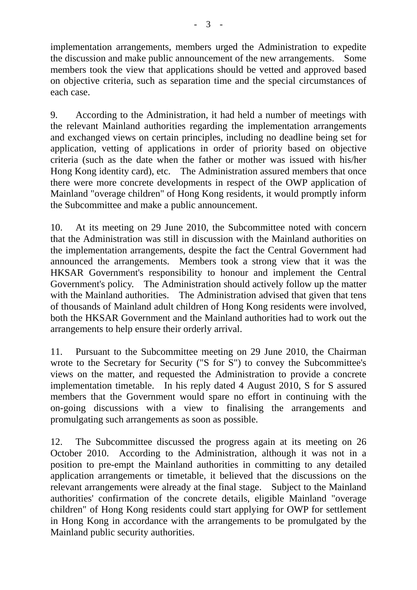implementation arrangements, members urged the Administration to expedite the discussion and make public announcement of the new arrangements. Some members took the view that applications should be vetted and approved based on objective criteria, such as separation time and the special circumstances of each case.

9. According to the Administration, it had held a number of meetings with the relevant Mainland authorities regarding the implementation arrangements and exchanged views on certain principles, including no deadline being set for application, vetting of applications in order of priority based on objective criteria (such as the date when the father or mother was issued with his/her Hong Kong identity card), etc. The Administration assured members that once there were more concrete developments in respect of the OWP application of Mainland "overage children" of Hong Kong residents, it would promptly inform the Subcommittee and make a public announcement.

10. At its meeting on 29 June 2010, the Subcommittee noted with concern that the Administration was still in discussion with the Mainland authorities on the implementation arrangements, despite the fact the Central Government had announced the arrangements. Members took a strong view that it was the HKSAR Government's responsibility to honour and implement the Central Government's policy. The Administration should actively follow up the matter with the Mainland authorities. The Administration advised that given that tens of thousands of Mainland adult children of Hong Kong residents were involved, both the HKSAR Government and the Mainland authorities had to work out the arrangements to help ensure their orderly arrival.

11. Pursuant to the Subcommittee meeting on 29 June 2010, the Chairman wrote to the Secretary for Security ("S for S") to convey the Subcommittee's views on the matter, and requested the Administration to provide a concrete implementation timetable. In his reply dated 4 August 2010, S for S assured members that the Government would spare no effort in continuing with the on-going discussions with a view to finalising the arrangements and promulgating such arrangements as soon as possible.

12. The Subcommittee discussed the progress again at its meeting on 26 October 2010. According to the Administration, although it was not in a position to pre-empt the Mainland authorities in committing to any detailed application arrangements or timetable, it believed that the discussions on the relevant arrangements were already at the final stage. Subject to the Mainland authorities' confirmation of the concrete details, eligible Mainland "overage children" of Hong Kong residents could start applying for OWP for settlement in Hong Kong in accordance with the arrangements to be promulgated by the Mainland public security authorities.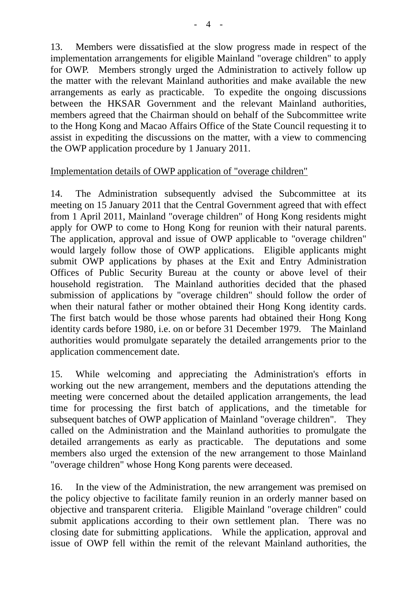13. Members were dissatisfied at the slow progress made in respect of the implementation arrangements for eligible Mainland "overage children" to apply for OWP. Members strongly urged the Administration to actively follow up the matter with the relevant Mainland authorities and make available the new arrangements as early as practicable. To expedite the ongoing discussions between the HKSAR Government and the relevant Mainland authorities, members agreed that the Chairman should on behalf of the Subcommittee write to the Hong Kong and Macao Affairs Office of the State Council requesting it to assist in expediting the discussions on the matter, with a view to commencing the OWP application procedure by 1 January 2011.

## Implementation details of OWP application of "overage children"

14. The Administration subsequently advised the Subcommittee at its meeting on 15 January 2011 that the Central Government agreed that with effect from 1 April 2011, Mainland "overage children" of Hong Kong residents might apply for OWP to come to Hong Kong for reunion with their natural parents. The application, approval and issue of OWP applicable to "overage children" would largely follow those of OWP applications. Eligible applicants might submit OWP applications by phases at the Exit and Entry Administration Offices of Public Security Bureau at the county or above level of their household registration. The Mainland authorities decided that the phased submission of applications by "overage children" should follow the order of when their natural father or mother obtained their Hong Kong identity cards. The first batch would be those whose parents had obtained their Hong Kong identity cards before 1980, i.e. on or before 31 December 1979. The Mainland authorities would promulgate separately the detailed arrangements prior to the application commencement date.

15. While welcoming and appreciating the Administration's efforts in working out the new arrangement, members and the deputations attending the meeting were concerned about the detailed application arrangements, the lead time for processing the first batch of applications, and the timetable for subsequent batches of OWP application of Mainland "overage children". They called on the Administration and the Mainland authorities to promulgate the detailed arrangements as early as practicable. The deputations and some members also urged the extension of the new arrangement to those Mainland "overage children" whose Hong Kong parents were deceased.

16. In the view of the Administration, the new arrangement was premised on the policy objective to facilitate family reunion in an orderly manner based on objective and transparent criteria. Eligible Mainland "overage children" could submit applications according to their own settlement plan. There was no closing date for submitting applications. While the application, approval and issue of OWP fell within the remit of the relevant Mainland authorities, the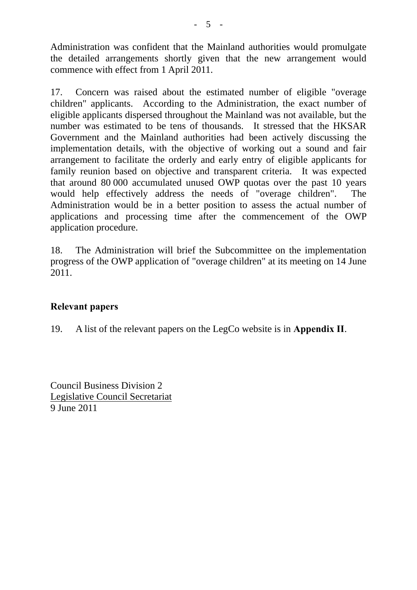Administration was confident that the Mainland authorities would promulgate the detailed arrangements shortly given that the new arrangement would commence with effect from 1 April 2011.

17. Concern was raised about the estimated number of eligible "overage children" applicants. According to the Administration, the exact number of eligible applicants dispersed throughout the Mainland was not available, but the number was estimated to be tens of thousands. It stressed that the HKSAR Government and the Mainland authorities had been actively discussing the implementation details, with the objective of working out a sound and fair arrangement to facilitate the orderly and early entry of eligible applicants for family reunion based on objective and transparent criteria. It was expected that around 80,000 accumulated unused OWP quotas over the past 10 years would help effectively address the needs of "overage children". The Administration would be in a better position to assess the actual number of applications and processing time after the commencement of the OWP application procedure.

18. The Administration will brief the Subcommittee on the implementation progress of the OWP application of "overage children" at its meeting on 14 June 2011.

#### **Relevant papers**

19. A list of the relevant papers on the LegCo website is in **Appendix II**.

Council Business Division 2 Legislative Council Secretariat 9 June 2011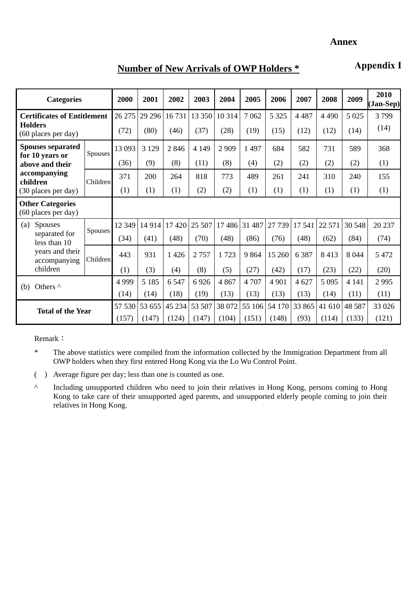# **Number of New Arrivals of OWP Holders \***

**Appendix I**

| <b>Categories</b>                                                                                     |          | 2000    | 2001    | 2002    | 2003    | 2004    | 2005   | 2006    | 2007    | 2008    | 2009    | 2010<br>(Jan-Sep) |
|-------------------------------------------------------------------------------------------------------|----------|---------|---------|---------|---------|---------|--------|---------|---------|---------|---------|-------------------|
| <b>Certificates of Entitlement</b><br><b>Holders</b><br>(60 places per day)                           |          | 26 27 5 | 29 29 6 | 16731   | 13 350  | 10 3 14 | 7062   | 5 3 2 5 | 4 4 8 7 | 4 4 9 0 | 5 0 25  | 3799              |
|                                                                                                       |          | (72)    | (80)    | (46)    | (37)    | (28)    | (19)   | (15)    | (12)    | (12)    | (14)    | (14)              |
| <b>Spouses separated</b><br>for 10 years or                                                           | Spouses  | 13 093  | 3 1 2 9 | 2846    | 4 1 4 9 | 2 9 0 9 | 1497   | 684     | 582     | 731     | 589     | 368               |
| above and their<br>accompanying<br>children                                                           |          | (36)    | (9)     | (8)     | (11)    | (8)     | (4)    | (2)     | (2)     | (2)     | (2)     | (1)               |
|                                                                                                       | Children | 371     | 200     | 264     | 818     | 773     | 489    | 261     | 241     | 310     | 240     | 155               |
| (30 places per day)                                                                                   |          | (1)     | (1)     | (1)     | (2)     | (2)     | (1)    | (1)     | (1)     | (1)     | (1)     | (1)               |
| <b>Other Categories</b><br>(60 places per day)                                                        |          |         |         |         |         |         |        |         |         |         |         |                   |
| <b>Spouses</b><br>(a)<br>separated for<br>less than 10<br>years and their<br>accompanying<br>children | Spouses  | 12 3 49 | 14 9 14 | 17420   | 25 507  | 17486   | 31 487 | 27 739  | 17 541  | 22 571  | 30 548  | 20 237            |
|                                                                                                       |          | (34)    | (41)    | (48)    | (70)    | (48)    | (86)   | (76)    | (48)    | (62)    | (84)    | (74)              |
|                                                                                                       | Children | 443     | 931     | 1 4 2 6 | 2757    | 1723    | 9864   | 15 260  | 6 3 8 7 | 8413    | 8 0 4 4 | 5 4 7 2           |
|                                                                                                       |          | (1)     | (3)     | (4)     | (8)     | (5)     | (27)   | (42)    | (17)    | (23)    | (22)    | (20)              |
| Others ^<br>(b)                                                                                       |          | 4 9 9 9 | 5 1 8 5 | 6 5 4 7 | 6926    | 4 8 6 7 | 4 707  | 4 9 0 1 | 4 6 27  | 5 0 9 5 | 4 1 4 1 | 2995              |
|                                                                                                       |          | (14)    | (14)    | (18)    | (19)    | (13)    | (13)   | (13)    | (13)    | (14)    | (11)    | (11)              |
| <b>Total of the Year</b>                                                                              |          | 57 530  | 53 655  | 45 234  | 53 507  | 38 072  | 55 106 | 54 170  | 33 865  | 41 610  | 48 5 87 | 33 0 26           |
|                                                                                                       |          | (157)   | (147)   | (124)   | (147)   | (104)   | (151)  | (148)   | (93)    | (114)   | (133)   | (121)             |

Remark:

\* The above statistics were compiled from the information collected by the Immigration Department from all OWP holders when they first entered Hong Kong via the Lo Wu Control Point.

- ( ) Average figure per day; less than one is counted as one.
- ^ Including unsupported children who need to join their relatives in Hong Kong, persons coming to Hong Kong to take care of their unsupported aged parents, and unsupported elderly people coming to join their relatives in Hong Kong.